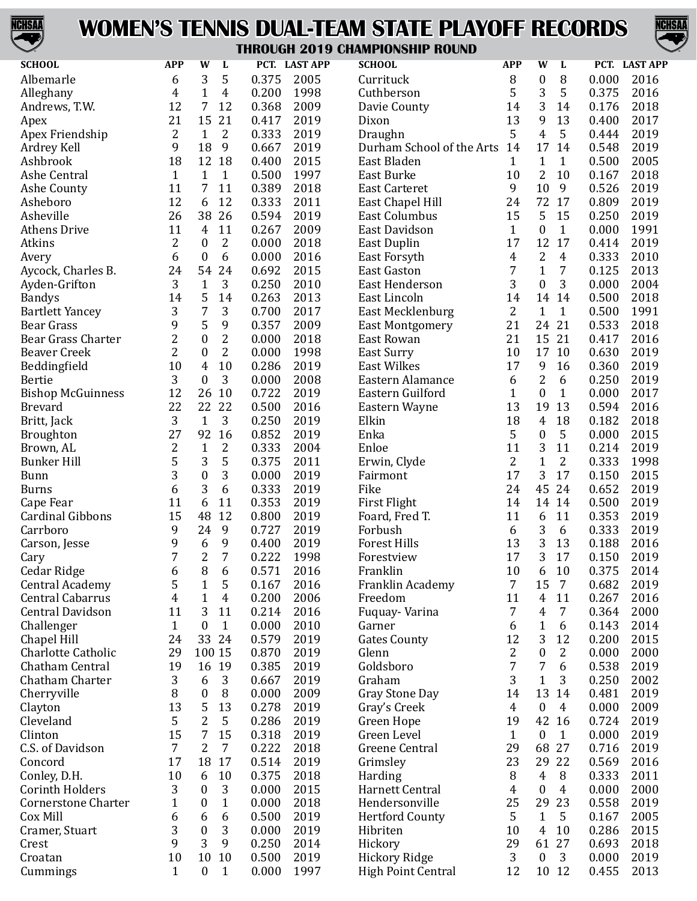

### **WOMEN'S TENNIS DUAL-TEAM STATE PLAYOFF RECORDS**



#### **THROUGH 2019 CHAMPIONSHIP ROUND**

| <b>SCHOOL</b>              | <b>APP</b>     | W                | L              |                | PCT. LAST APP | <b>SCHOOL</b>             | <b>APP</b>         | W                      | L              |                | PCT. LAST APP |
|----------------------------|----------------|------------------|----------------|----------------|---------------|---------------------------|--------------------|------------------------|----------------|----------------|---------------|
| Albemarle                  | 6              | 3                | 5              | 0.375          | 2005          | Currituck                 | 8                  | $\boldsymbol{0}$       | 8              | 0.000          | 2016          |
| Alleghany                  | 4              | $\mathbf{1}$     | 4              | 0.200          | 1998          | Cuthberson                | 5                  | 3                      | 5              | 0.375          | 2016          |
| Andrews, T.W.              | 12             | 7                | 12             | 0.368          | 2009          | Davie County              | 14                 | 3                      | 14             | 0.176          | 2018          |
| Apex                       | 21             | 15               | 21             | 0.417          | 2019          | Dixon                     | 13                 | 9                      | 13             | 0.400          | 2017          |
| Apex Friendship            | 2              | $\mathbf{1}$     | 2              | 0.333          | 2019          | Draughn                   | 5                  | $\overline{4}$         | 5              | 0.444          | 2019          |
| Ardrey Kell                | 9              | 18               | 9              | 0.667          | 2019          | Durham School of the Arts | 14                 | 17                     | 14             | 0.548          | 2019          |
| Ashbrook                   | 18             | 12 18            |                | 0.400          | 2015          | East Bladen               | 1                  | $\mathbf{1}$           | $\mathbf{1}$   | 0.500          | 2005          |
| Ashe Central               | $\mathbf{1}$   | $\mathbf{1}$     | $\mathbf{1}$   | 0.500          | 1997          | East Burke                | 10                 | 2                      | 10             | 0.167          | 2018          |
| Ashe County                | 11             | 7                | 11             | 0.389          | 2018          | <b>East Carteret</b>      | 9                  | 10                     | 9              | 0.526          | 2019          |
| Asheboro                   | 12             | 6                | 12             | 0.333          | 2011          | East Chapel Hill          | 24                 | 72                     | 17             | 0.809          | 2019          |
| Asheville                  | 26             | 38               | 26             | 0.594          | 2019          | <b>East Columbus</b>      | 15                 | 5                      | 15             | 0.250          | 2019          |
| <b>Athens Drive</b>        | 11             | 4                | 11             | 0.267          | 2009          | East Davidson             | $\mathbf{1}$       | $\boldsymbol{0}$       | $\mathbf{1}$   | 0.000          | 1991          |
| Atkins                     | 2              | $\boldsymbol{0}$ | 2              | 0.000          | 2018          | East Duplin               | 17                 | 12                     | 17             | 0.414          | 2019          |
| Avery                      | 6              | $\boldsymbol{0}$ | 6              | 0.000          | 2016          | East Forsyth              | 4                  | 2                      | 4              | 0.333          | 2010          |
| Aycock, Charles B.         | 24             | 54               | 24             | 0.692          | 2015          | <b>East Gaston</b>        | 7                  | $\mathbf{1}$           | 7              | 0.125          | 2013          |
| Ayden-Grifton              | 3              | $\mathbf{1}$     | 3              | 0.250          | 2010          | <b>East Henderson</b>     | 3                  | $\boldsymbol{0}$       | 3              | 0.000          | 2004          |
| <b>Bandys</b>              | 14             | 5                | 14             | 0.263          | 2013          | East Lincoln              | 14                 | 14                     | 14             | 0.500          | 2018          |
| <b>Bartlett Yancey</b>     | 3              | 7                | 3              | 0.700          | 2017          | East Mecklenburg          | 2                  | $\mathbf{1}$           | $\mathbf{1}$   | 0.500          | 1991          |
| <b>Bear Grass</b>          | 9              | 5                | 9              | 0.357          | 2009          | <b>East Montgomery</b>    | 21                 | 24                     | 21             | 0.533          | 2018          |
| <b>Bear Grass Charter</b>  | $\overline{c}$ | $\boldsymbol{0}$ | 2              | 0.000          | 2018          | East Rowan                | 21                 | 15                     | 21             | 0.417          | 2016          |
| <b>Beaver Creek</b>        | 2              | $\boldsymbol{0}$ | 2              | 0.000          | 1998          | <b>East Surry</b>         | 10                 | 17                     | 10             | 0.630          | 2019          |
| Beddingfield               | 10             | 4                | 10             | 0.286          | 2019          | <b>East Wilkes</b>        | 17                 | 9                      | 16             | 0.360          | 2019          |
| <b>Bertie</b>              | 3              | $\boldsymbol{0}$ | 3              | 0.000          | 2008          | Eastern Alamance          | 6                  | 2                      | 6              | 0.250          | 2019          |
| <b>Bishop McGuinness</b>   | 12             | 26               | 10             | 0.722          | 2019          | Eastern Guilford          | 1                  | $\boldsymbol{0}$       | $\mathbf{1}$   | 0.000          | 2017          |
| <b>Brevard</b>             | 22             | 22               | 22             | 0.500          | 2016          | Eastern Wayne             | 13                 | 19                     | 13             | 0.594          | 2016          |
| Britt, Jack                | 3              | $\mathbf{1}$     | 3              | 0.250          | 2019          | Elkin                     | 18                 | $\overline{4}$         | 18             | 0.182          | 2018          |
| <b>Broughton</b>           | 27             | 92               | 16             | 0.852          | 2019          | Enka                      | 5                  | $\boldsymbol{0}$       | 5              | 0.000          | 2015          |
| Brown, AL                  | 2              | $\mathbf{1}$     | 2              | 0.333          | 2004          | Enloe                     | 11                 | 3                      | 11             | 0.214          | 2019          |
| <b>Bunker Hill</b>         | 5              | 3                | 5              | 0.375          | 2011          | Erwin, Clyde              | 2                  | $\mathbf{1}$           | $\overline{2}$ | 0.333          | 1998          |
| Bunn                       | 3              | $\boldsymbol{0}$ | 3              | 0.000          | 2019          | Fairmont                  | 17                 | 3                      | 17             | 0.150          | 2015          |
| Burns                      | 6              | 3                | 6              | 0.333          | 2019          | Fike                      | 24                 | 45                     | 24             | 0.652          | 2019          |
| Cape Fear                  | 11             | 6                | 11             | 0.353          | 2019          | First Flight              | 14                 | 14                     | 14             | 0.500          | 2019          |
| <b>Cardinal Gibbons</b>    | 15             | 48               | 12             | 0.800          | 2019          | Foard, Fred T.            | 11                 | 6                      | 11             | 0.353          | 2019          |
| Carrboro                   | 9              | 24               | 9              | 0.727          | 2019          | Forbush                   | 6                  | 3                      | 6              | 0.333          | 2019          |
| Carson, Jesse              | 9              | 6                | 9              | 0.400          | 2019          | <b>Forest Hills</b>       | 13                 | 3                      | 13             | 0.188          | 2016          |
| Cary                       | 7              | $\overline{2}$   | $\overline{7}$ | 0.222          | 1998          | Forestview                | 17                 | 3                      | 17             | 0.150          | 2019          |
| Cedar Ridge                | 6              | 8                | 6              | 0.571          | 2016          | Franklin                  | 10                 | 6                      | 10             | 0.375          | 2014          |
| <b>Central Academy</b>     | 5              | 1                | 5              | 0.167          | 2016          | Franklin Academy          | 7                  | 15                     | 7              | 0.682          | 2019          |
| <b>Central Cabarrus</b>    | $\overline{4}$ | 1                | 4              | 0.200          | 2006          | Freedom                   | 11                 | $\overline{4}$         | 11             | 0.267          | 2016          |
| <b>Central Davidson</b>    | 11             | 3                | 11             | 0.214          | 2016          | Fuquay-Varina             | 7                  | $\overline{4}$         | $\overline{7}$ | 0.364          | 2000          |
| Challenger                 | $\mathbf{1}$   | 0                | $\mathbf{1}$   | 0.000          | 2010          | Garner                    | 6                  | $\mathbf{1}$           | 6              | 0.143          | 2014          |
| Chapel Hill                | 24             | 33               | 24             | 0.579          | 2019          | <b>Gates County</b>       | 12                 | 3                      | 12             | 0.200          | 2015          |
| <b>Charlotte Catholic</b>  | 29             | 100 15           |                | 0.870          | 2019          | Glenn                     | 2                  | $\boldsymbol{0}$       | $\overline{2}$ | 0.000          | 2000          |
| Chatham Central            | 19             | 16               | 19             | 0.385          | 2019          | Goldsboro                 | 7                  | 7                      | 6              | 0.538          | 2019          |
| Chatham Charter            | 3              | 6                | 3              | 0.667          | 2019          | Graham                    | 3                  | $\mathbf{1}$           | 3              | 0.250          | 2002          |
| Cherryville                | 8              | 0                | 8              | 0.000          | 2009          | <b>Gray Stone Day</b>     | 14                 | 13                     | 14             | 0.481          | 2019          |
| Clayton                    | 13             | 5                | 13             | 0.278          | 2019          | Gray's Creek              | 4                  | $\boldsymbol{0}$       | $\overline{4}$ | 0.000          | 2009          |
| Cleveland                  | 5              | 2                | 5              | 0.286          | 2019          |                           | 19                 | 42                     | 16             | 0.724          | 2019          |
| Clinton                    | 15             | 7                | 15             | 0.318          | 2019          | Green Hope<br>Green Level |                    |                        | $\mathbf{1}$   | 0.000          | 2019          |
| C.S. of Davidson           | 7              | 2                | 7              | 0.222          | 2018          | Greene Central            | $\mathbf{1}$<br>29 | $\boldsymbol{0}$<br>68 | 27             | 0.716          | 2019          |
|                            |                |                  |                |                |               |                           | 23                 |                        | 22             |                |               |
| Concord                    | 17<br>10       | 18               | 17             | 0.514<br>0.375 | 2019          | Grimsley                  | 8                  | 29<br>$\overline{4}$   | 8              | 0.569<br>0.333 | 2016<br>2011  |
| Conley, D.H.               |                | 6                | 10             |                | 2018          | Harding                   |                    |                        |                |                |               |
| <b>Corinth Holders</b>     | 3              | $\boldsymbol{0}$ | 3              | 0.000          | 2015          | Harnett Central           | 4                  | $\boldsymbol{0}$       | $\overline{4}$ | 0.000          | 2000          |
| <b>Cornerstone Charter</b> | 1              | $\boldsymbol{0}$ | $\mathbf{1}$   | 0.000          | 2018          | Hendersonville            | 25                 | 29                     | 23             | 0.558          | 2019          |
| Cox Mill                   | 6              | 6                | 6              | 0.500          | 2019          | <b>Hertford County</b>    | 5                  | $\mathbf{1}$           | 5              | 0.167          | 2005          |
| Cramer, Stuart             | 3              | $\boldsymbol{0}$ | 3              | 0.000          | 2019          | Hibriten                  | 10                 | $\overline{4}$         | 10             | 0.286          | 2015          |
| Crest                      | 9              | 3                | 9              | 0.250          | 2014          | Hickory                   | 29                 | 61                     | 27             | 0.693          | 2018          |
| Croatan                    | 10             | 10               | 10             | 0.500          | 2019          | <b>Hickory Ridge</b>      | 3                  | $\boldsymbol{0}$       | 3              | 0.000          | 2019          |
| Cummings                   | $\mathbf{1}$   | $\boldsymbol{0}$ | $\mathbf{1}$   | 0.000          | 1997          | <b>High Point Central</b> | 12                 |                        | 10 12          | 0.455          | 2013          |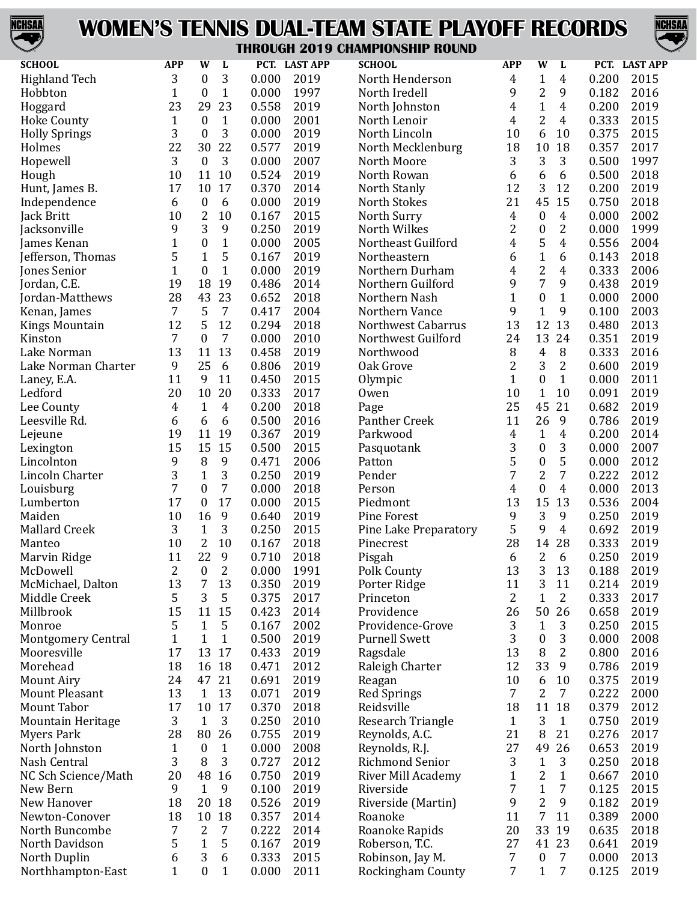

# **WOMEN'S TENNIS DUAL-TEAM STATE PLAYOFF RECORDS**



#### **THROUGH 2019 CHAMPIONSHIP ROUND**

| <b>SCHOOL</b>             | <b>APP</b>     | W                | L                |       | PCT. LAST APP | U I J VIIAN<br>VIVUIII HUVIID<br><b>SCHOOL</b> | <b>APP</b>     | W                | L                |       | PCT. LAST APP |
|---------------------------|----------------|------------------|------------------|-------|---------------|------------------------------------------------|----------------|------------------|------------------|-------|---------------|
|                           |                |                  |                  |       |               |                                                |                |                  |                  |       |               |
| <b>Highland Tech</b>      | 3              | $\boldsymbol{0}$ | 3                | 0.000 | 2019          | North Henderson                                | 4              | $\mathbf{1}$     | 4                | 0.200 | 2015          |
| Hobbton                   | $\mathbf{1}$   | $\boldsymbol{0}$ | $\mathbf{1}$     | 0.000 | 1997          | North Iredell                                  | 9              | $\sqrt{2}$       | 9                | 0.182 | 2016          |
| Hoggard                   | 23             | 29               | 23               | 0.558 | 2019          | North Johnston                                 | 4              | $\mathbf{1}$     | 4                | 0.200 | 2019          |
| <b>Hoke County</b>        | $\mathbf{1}$   | $\boldsymbol{0}$ | $\mathbf{1}$     | 0.000 | 2001          | North Lenoir                                   | 4              | $\overline{2}$   | 4                | 0.333 | 2015          |
| <b>Holly Springs</b>      | 3              | $\boldsymbol{0}$ | 3                | 0.000 | 2019          | North Lincoln                                  | 10             | 6                | 10               | 0.375 | 2015          |
| Holmes                    | 22             | 30               | 22               | 0.577 | 2019          | North Mecklenburg                              | 18             | 10               | 18               | 0.357 | 2017          |
| Hopewell                  | 3              | $\mathbf{0}$     | 3                | 0.000 | 2007          | North Moore                                    | 3              | 3                | 3                | 0.500 | 1997          |
| Hough                     | 10             | 11               | 10               | 0.524 | 2019          | North Rowan                                    | 6              | 6                | 6                | 0.500 | 2018          |
| Hunt, James B.            | 17             | 10               | 17               | 0.370 | 2014          | North Stanly                                   | 12             | 3                | 12               | 0.200 | 2019          |
| Independence              | 6              | $\boldsymbol{0}$ | 6                | 0.000 | 2019          | <b>North Stokes</b>                            | 21             | 45               | 15               | 0.750 | 2018          |
| Jack Britt                | 10             | $\overline{c}$   | 10               | 0.167 | 2015          | North Surry                                    | $\overline{4}$ | $\boldsymbol{0}$ | 4                | 0.000 | 2002          |
| Jacksonville              | 9              | 3                | $\boldsymbol{9}$ | 0.250 | 2019          | North Wilkes                                   | $\overline{2}$ | $\boldsymbol{0}$ | $\overline{2}$   | 0.000 | 1999          |
| James Kenan               | $\mathbf{1}$   | $\boldsymbol{0}$ | $\mathbf{1}$     | 0.000 | 2005          | Northeast Guilford                             | 4              | 5                | $\overline{4}$   | 0.556 | 2004          |
| Jefferson, Thomas         | 5              | $\mathbf{1}$     | 5                | 0.167 | 2019          | Northeastern                                   | 6              | $\mathbf{1}$     | 6                | 0.143 | 2018          |
| Jones Senior              | $\mathbf{1}$   | $\boldsymbol{0}$ | $\mathbf{1}$     | 0.000 | 2019          | Northern Durham                                | 4              | $\overline{c}$   | 4                | 0.333 | 2006          |
|                           | 19             | 18               | 19               | 0.486 | 2014          | Northern Guilford                              | 9              | $\overline{7}$   | 9                | 0.438 | 2019          |
| Jordan, C.E.              |                |                  | 23               |       |               |                                                |                |                  |                  |       |               |
| Jordan-Matthews           | 28             | 43               |                  | 0.652 | 2018          | Northern Nash                                  | 1              | $\boldsymbol{0}$ | $\mathbf{1}$     | 0.000 | 2000          |
| Kenan, James              | 7              | 5                | $\overline{7}$   | 0.417 | 2004          | Northern Vance                                 | 9              | $\mathbf{1}$     | 9                | 0.100 | 2003          |
| <b>Kings Mountain</b>     | 12             | 5                | 12               | 0.294 | 2018          | Northwest Cabarrus                             | 13             | 12               | 13               | 0.480 | 2013          |
| Kinston                   | 7              | $\boldsymbol{0}$ | $\overline{7}$   | 0.000 | 2010          | Northwest Guilford                             | 24             | 13               | 24               | 0.351 | 2019          |
| Lake Norman               | 13             | 11               | 13               | 0.458 | 2019          | Northwood                                      | 8              | $\overline{4}$   | $\, 8$           | 0.333 | 2016          |
| Lake Norman Charter       | 9              | 25               | 6                | 0.806 | 2019          | Oak Grove                                      | $\overline{2}$ | 3                | $\overline{2}$   | 0.600 | 2019          |
| Laney, E.A.               | 11             | $\boldsymbol{9}$ | 11               | 0.450 | 2015          | Olympic                                        | $\mathbf{1}$   | $\boldsymbol{0}$ | $\mathbf{1}$     | 0.000 | 2011          |
| Ledford                   | 20             | 10               | 20               | 0.333 | 2017          | Owen                                           | 10             | $\mathbf{1}$     | 10               | 0.091 | 2019          |
| Lee County                | 4              | $\mathbf{1}$     | $\overline{4}$   | 0.200 | 2018          | Page                                           | 25             | 45               | 21               | 0.682 | 2019          |
| Leesville Rd.             | 6              | 6                | 6                | 0.500 | 2016          | Panther Creek                                  | 11             | 26               | $\boldsymbol{9}$ | 0.786 | 2019          |
| Lejeune                   | 19             | 11               | 19               | 0.367 | 2019          | Parkwood                                       | 4              | $\mathbf{1}$     | 4                | 0.200 | 2014          |
| Lexington                 | 15             | 15               | 15               | 0.500 | 2015          | Pasquotank                                     | 3              | $\boldsymbol{0}$ | 3                | 0.000 | 2007          |
| Lincolnton                | 9              | 8                | 9                | 0.471 | 2006          | Patton                                         | 5              | $\boldsymbol{0}$ | 5                | 0.000 | 2012          |
| Lincoln Charter           | 3              | $\mathbf{1}$     | 3                | 0.250 | 2019          | Pender                                         | 7              | $\overline{c}$   | $\overline{7}$   | 0.222 | 2012          |
| Louisburg                 | $\overline{7}$ | $\boldsymbol{0}$ | $\overline{7}$   | 0.000 | 2018          | Person                                         | 4              | $\boldsymbol{0}$ | 4                | 0.000 | 2013          |
| Lumberton                 | 17             | $\boldsymbol{0}$ | 17               | 0.000 | 2015          | Piedmont                                       | 13             | 15               | 13               | 0.536 | 2004          |
| Maiden                    | 10             | 16               | 9                | 0.640 | 2019          | Pine Forest                                    | 9              | 3                | 9                | 0.250 | 2019          |
| Mallard Creek             | 3              | $\mathbf{1}$     | 3                | 0.250 | 2015          | Pine Lake Preparatory                          | 5              | 9                | $\overline{4}$   | 0.692 | 2019          |
| Manteo                    | 10             | $\overline{c}$   | 10               | 0.167 | 2018          | Pinecrest                                      | 28             | 14               | 28               | 0.333 | 2019          |
| Marvin Ridge              | 11             | 22               | 9                | 0.710 | 2018          | Pisgah                                         | 6              | 2                | 6                | 0.250 | 2019          |
| McDowell                  | 2              | $\boldsymbol{0}$ | 2                | 0.000 | 1991          | Polk County                                    | 13             | 3                | 13               | 0.188 | 2019          |
|                           | 13             |                  | 13               |       | 2019          |                                                |                | 3                |                  | 0.214 | 2019          |
| McMichael, Dalton         |                | 7<br>3           |                  | 0.350 |               | Porter Ridge                                   | 11             |                  | 11               |       |               |
| Middle Creek              | 5              |                  | 5                | 0.375 | 2017          | Princeton                                      | 2              | 1                | 2                | 0.333 | 2017          |
| Millbrook                 | 15             | 11               | 15               | 0.423 | 2014          | Providence                                     | 26             | 50               | 26               | 0.658 | 2019          |
| Monroe                    | 5              | $\mathbf{1}$     | 5                | 0.167 | 2002          | Providence-Grove                               | 3              | $\mathbf{1}$     | 3                | 0.250 | 2015          |
| <b>Montgomery Central</b> | $\mathbf{1}$   | $\mathbf{1}$     | $\mathbf{1}$     | 0.500 | 2019          | <b>Purnell Swett</b>                           | 3              | $\boldsymbol{0}$ | 3                | 0.000 | 2008          |
| Mooresville               | 17             | 13               | 17               | 0.433 | 2019          | Ragsdale                                       | 13             | 8                | $\overline{2}$   | 0.800 | 2016          |
| Morehead                  | 18             | 16 18            |                  | 0.471 | 2012          | Raleigh Charter                                | 12             | 33               | 9                | 0.786 | 2019          |
| <b>Mount Airy</b>         | 24             | 47               | 21               | 0.691 | 2019          | Reagan                                         | 10             | 6                | 10               | 0.375 | 2019          |
| Mount Pleasant            | 13             | $\mathbf{1}$     | 13               | 0.071 | 2019          | Red Springs                                    | 7              | 2                | $\overline{7}$   | 0.222 | 2000          |
| Mount Tabor               | 17             | 10               | 17               | 0.370 | 2018          | Reidsville                                     | 18             | 11               | 18               | 0.379 | 2012          |
| <b>Mountain Heritage</b>  | 3              | $\mathbf{1}$     | 3                | 0.250 | 2010          | Research Triangle                              | $\mathbf{1}$   | 3                | $\mathbf{1}$     | 0.750 | 2019          |
| <b>Myers Park</b>         | 28             | 80               | 26               | 0.755 | 2019          | Reynolds, A.C.                                 | 21             | 8                | 21               | 0.276 | 2017          |
| North Johnston            | $\mathbf{1}$   | $\boldsymbol{0}$ | $\mathbf{1}$     | 0.000 | 2008          | Reynolds, R.J.                                 | 27             | 49               | 26               | 0.653 | 2019          |
| Nash Central              | 3              | 8                | 3                | 0.727 | 2012          | <b>Richmond Senior</b>                         | 3              | $\mathbf{1}$     | 3                | 0.250 | 2018          |
| NC Sch Science/Math       | 20             | 48               | 16               | 0.750 | 2019          | <b>River Mill Academy</b>                      | 1              | 2                | $\mathbf{1}$     | 0.667 | 2010          |
| New Bern                  | 9              | $\mathbf{1}$     | 9                | 0.100 | 2019          | Riverside                                      | 7              | $\mathbf{1}$     | 7                | 0.125 | 2015          |
| New Hanover               | 18             | 20               | 18               | 0.526 | 2019          | Riverside (Martin)                             | 9              | $\overline{2}$   | 9                | 0.182 | 2019          |
| Newton-Conover            | 18             | 10               | 18               | 0.357 | 2014          | Roanoke                                        | 11             | $\overline{7}$   | 11               | 0.389 | 2000          |
| North Buncombe            | 7              | 2                | $\overline{7}$   | 0.222 | 2014          | Roanoke Rapids                                 | 20             | 33               | 19               | 0.635 | 2018          |
| North Davidson            | 5              | $\mathbf{1}$     | 5                | 0.167 | 2019          | Roberson, T.C.                                 | 27             | 41               | 23               | 0.641 | 2019          |
|                           | 6              | 3                | 6                | 0.333 | 2015          |                                                | 7              |                  | 7                | 0.000 | 2013          |
| North Duplin              |                | $\mathbf{0}$     |                  |       |               | Robinson, Jay M.                               |                | $\boldsymbol{0}$ |                  |       |               |
| Northhampton-East         | $\mathbf{1}$   |                  | $\mathbf{1}$     | 0.000 | 2011          | Rockingham County                              | 7              | $\mathbf{1}$     | 7                | 0.125 | 2019          |